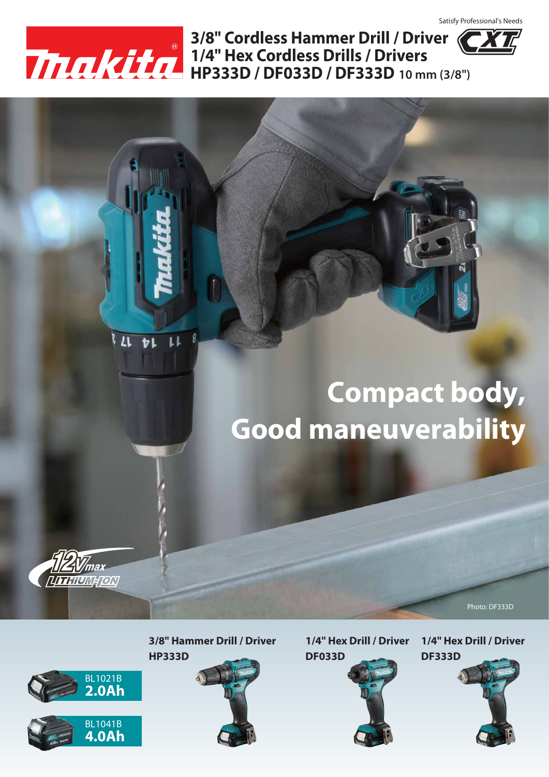

 $11 + 1$ 

**HP333D / DF033D / DF333D 10 mm (3/8") 1/4" Hex Cordless Drills / Drivers 3/8" Cordless Hammer Drill / Driver**

# **Compact body, Good maneuverability**



Photo: DF333D